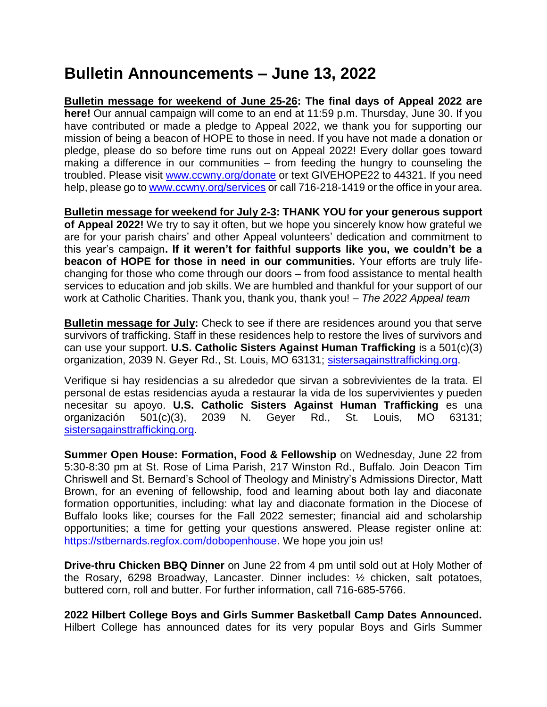## **Bulletin Announcements – June 13, 2022**

**Bulletin message for weekend of June 25-26: The final days of Appeal 2022 are here!** Our annual campaign will come to an end at 11:59 p.m. Thursday, June 30. If you have contributed or made a pledge to Appeal 2022, we thank you for supporting our mission of being a beacon of HOPE to those in need. If you have not made a donation or pledge, please do so before time runs out on Appeal 2022! Every dollar goes toward making a difference in our communities – from feeding the hungry to counseling the troubled. Please visit [www.ccwny.org/donate](http://www.ccwny.org/donate) or text GIVEHOPE22 to 44321. If you need help, please go to [www.ccwny.org/services](http://www.ccwny.org/services) or call 716-218-1419 or the office in your area.

**Bulletin message for weekend for July 2-3: THANK YOU for your generous support of Appeal 2022!** We try to say it often, but we hope you sincerely know how grateful we are for your parish chairs' and other Appeal volunteers' dedication and commitment to this year's campaign**. If it weren't for faithful supports like you, we couldn't be a beacon of HOPE for those in need in our communities.** Your efforts are truly lifechanging for those who come through our doors – from food assistance to mental health services to education and job skills. We are humbled and thankful for your support of our work at Catholic Charities. Thank you, thank you, thank you! – *The 2022 Appeal team*

**Bulletin message for July:** Check to see if there are residences around you that serve survivors of trafficking. Staff in these residences help to restore the lives of survivors and can use your support. **U.S. Catholic Sisters Against Human Trafficking** is a 501(c)(3) organization, 2039 N. Geyer Rd., St. Louis, MO 63131; [sistersagainsttrafficking.org.](file:///F:/2022/MAY%209%202022/sistersagainsttrafficking.org)

Verifique si hay residencias a su alrededor que sirvan a sobrevivientes de la trata. El personal de estas residencias ayuda a restaurar la vida de los supervivientes y pueden necesitar su apoyo. **U.S. Catholic Sisters Against Human Trafficking** es una organización 501(c)(3), 2039 N. Geyer Rd., St. Louis, MO 63131; [sistersagainsttrafficking.org.](file:///F:/2022/MAY%209%202022/sistersagainsttrafficking.org)

**Summer Open House: Formation, Food & Fellowship** on Wednesday, June 22 from 5:30-8:30 pm at St. Rose of Lima Parish, 217 Winston Rd., Buffalo. Join Deacon Tim Chriswell and St. Bernard's School of Theology and Ministry's Admissions Director, Matt Brown, for an evening of fellowship, food and learning about both lay and diaconate formation opportunities, including: what lay and diaconate formation in the Diocese of Buffalo looks like; courses for the Fall 2022 semester; financial aid and scholarship opportunities; a time for getting your questions answered. Please register online at: [https://stbernards.regfox.com/dobopenhouse.](https://stbernards.regfox.com/dobopenhouse) We hope you join us!

**Drive-thru Chicken BBQ Dinner** on June 22 from 4 pm until sold out at Holy Mother of the Rosary, 6298 Broadway, Lancaster. Dinner includes: ½ chicken, salt potatoes, buttered corn, roll and butter. For further information, call 716-685-5766.

**2022 Hilbert College Boys and Girls Summer Basketball Camp Dates Announced.** Hilbert College has announced dates for its very popular Boys and Girls Summer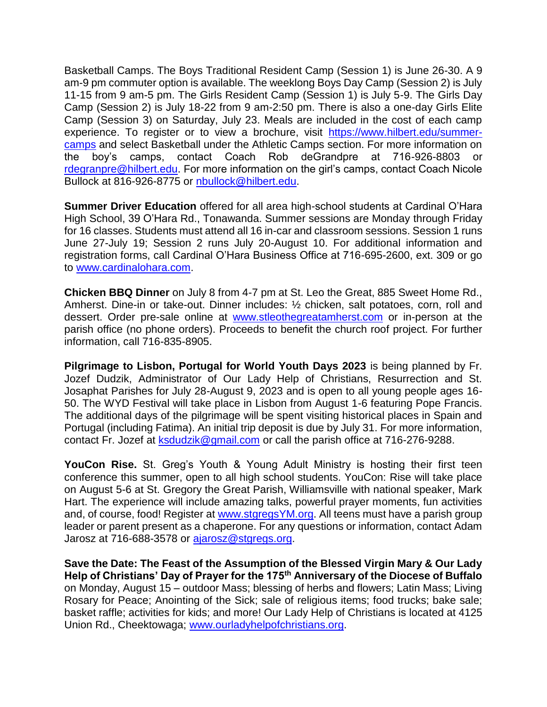Basketball Camps. The Boys Traditional Resident Camp (Session 1) is June 26-30. A 9 am-9 pm commuter option is available. The weeklong Boys Day Camp (Session 2) is July 11-15 from 9 am-5 pm. The Girls Resident Camp (Session 1) is July 5-9. The Girls Day Camp (Session 2) is July 18-22 from 9 am-2:50 pm. There is also a one-day Girls Elite Camp (Session 3) on Saturday, July 23. Meals are included in the cost of each camp experience. To register or to view a brochure, visit [https://www.hilbert.edu/summer](https://www.hilbert.edu/summer-camps)[camps](https://www.hilbert.edu/summer-camps) and select Basketball under the Athletic Camps section. For more information on the boy's camps, contact Coach Rob deGrandpre at 716-926-8803 or [rdegranpre@hilbert.edu.](mailto:rdegranpre@hilbert.edu) For more information on the girl's camps, contact Coach Nicole Bullock at 816-926-8775 or [nbullock@hilbert.edu.](mailto:nbullock@hilbert.edu)

**Summer Driver Education** offered for all area high-school students at Cardinal O'Hara High School, 39 O'Hara Rd., Tonawanda. Summer sessions are Monday through Friday for 16 classes. Students must attend all 16 in-car and classroom sessions. Session 1 runs June 27-July 19; Session 2 runs July 20-August 10. For additional information and registration forms, call Cardinal O'Hara Business Office at 716-695-2600, ext. 309 or go to [www.cardinalohara.com.](http://www.cardinalohara.com/)

**Chicken BBQ Dinner** on July 8 from 4-7 pm at St. Leo the Great, 885 Sweet Home Rd., Amherst. Dine-in or take-out. Dinner includes: ½ chicken, salt potatoes, corn, roll and dessert. Order pre-sale online at [www.stleothegreatamherst.com](http://www.stleothegreatamherst.com/) or in-person at the parish office (no phone orders). Proceeds to benefit the church roof project. For further information, call 716-835-8905.

**Pilgrimage to Lisbon, Portugal for World Youth Days 2023** is being planned by Fr. Jozef Dudzik, Administrator of Our Lady Help of Christians, Resurrection and St. Josaphat Parishes for July 28-August 9, 2023 and is open to all young people ages 16- 50. The WYD Festival will take place in Lisbon from August 1-6 featuring Pope Francis. The additional days of the pilgrimage will be spent visiting historical places in Spain and Portugal (including Fatima). An initial trip deposit is due by July 31. For more information, contact Fr. Jozef at [ksdudzik@gmail.com](mailto:ksdudzik@gmail.com) or call the parish office at 716-276-9288.

**YouCon Rise.** St. Greg's Youth & Young Adult Ministry is hosting their first teen conference this summer, open to all high school students. YouCon: Rise will take place on August 5-6 at St. Gregory the Great Parish, Williamsville with national speaker, Mark Hart. The experience will include amazing talks, powerful prayer moments, fun activities and, of course, food! Register at [www.stgregsYM.org.](http://www.stgregsym.org/) All teens must have a parish group leader or parent present as a chaperone. For any questions or information, contact Adam Jarosz at 716-688-3578 or [ajarosz@stgregs.org.](mailto:ajarosz@stgregs.org)

**Save the Date: The Feast of the Assumption of the Blessed Virgin Mary & Our Lady Help of Christians' Day of Prayer for the 175th Anniversary of the Diocese of Buffalo** on Monday, August 15 – outdoor Mass; blessing of herbs and flowers; Latin Mass; Living Rosary for Peace; Anointing of the Sick; sale of religious items; food trucks; bake sale; basket raffle; activities for kids; and more! Our Lady Help of Christians is located at 4125 Union Rd., Cheektowaga; [www.ourladyhelpofchristians.org.](http://www.ourladyhelpofchristians.org/)